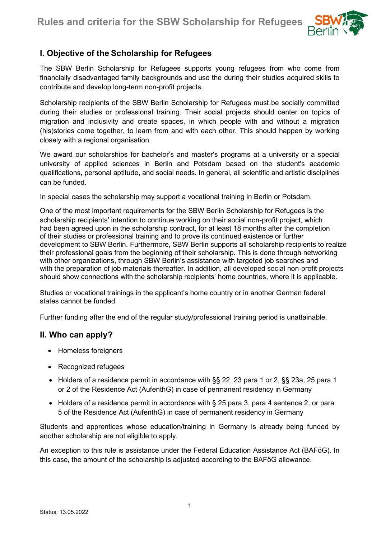

## I. Objective of the Scholarship for Refugees

The SBW Berlin Scholarship for Refugees supports young refugees from who come from financially disadvantaged family backgrounds and use the during their studies acquired skills to contribute and develop long-term non-profit projects.

Scholarship recipients of the SBW Berlin Scholarship for Refugees must be socially committed during their studies or professional training. Their social projects should center on topics of migration and inclusivity and create spaces, in which people with and without a migration (his)stories come together, to learn from and with each other. This should happen by working closely with a regional organisation.

We award our scholarships for bachelor's and master's programs at a university or a special university of applied sciences in Berlin and Potsdam based on the student's academic qualifications, personal aptitude, and social needs. In general, all scientific and artistic disciplines can be funded.

In special cases the scholarship may support a vocational training in Berlin or Potsdam.

One of the most important requirements for the SBW Berlin Scholarship for Refugees is the scholarship recipients' intention to continue working on their social non-profit project, which had been agreed upon in the scholarship contract, for at least 18 months after the completion of their studies or professional training and to prove its continued existence or further development to SBW Berlin. Furthermore, SBW Berlin supports all scholarship recipients to realize their professional goals from the beginning of their scholarship. This is done through networking with other organizations, through SBW Berlin's assistance with targeted job searches and with the preparation of job materials thereafter. In addition, all developed social non-profit projects should show connections with the scholarship recipients' home countries, where it is applicable.

Studies or vocational trainings in the applicant's home country or in another German federal states cannot be funded.

Further funding after the end of the regular study/professional training period is unattainable.

#### II. Who can apply?

- Homeless foreigners
- Recognized refugees
- Holders of a residence permit in accordance with §§ 22, 23 para 1 or 2, §§ 23a, 25 para 1 or 2 of the Residence Act (AufenthG) in case of permanent residency in Germany
- Holders of a residence permit in accordance with § 25 para 3, para 4 sentence 2, or para 5 of the Residence Act (AufenthG) in case of permanent residency in Germany

Students and apprentices whose education/training in Germany is already being funded by another scholarship are not eligible to apply.

An exception to this rule is assistance under the Federal Education Assistance Act (BAFöG). In this case, the amount of the scholarship is adjusted according to the BAFöG allowance.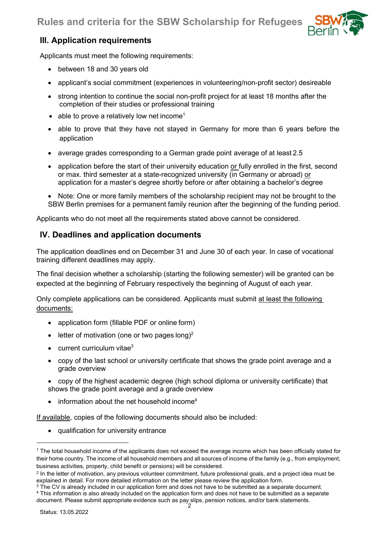

# III. Application requirements

Applicants must meet the following requirements:

- between 18 and 30 years old
- applicant's social commitment (experiences in volunteering/non-profit sector) desireable
- strong intention to continue the social non-profit project for at least 18 months after the completion of their studies or professional training
- able to prove a relatively low net income<sup>1</sup>
- able to prove that they have not stayed in Germany for more than 6 years before the application
- average grades corresponding to a German grade point average of at least 2.5
- application before the start of their university education or fully enrolled in the first, second or max. third semester at a state-recognized university (in Germany or abroad) or application for a master's degree shortly before or after obtaining a bachelor's degree
- Note: One or more family members of the scholarship recipient may not be brought to the SBW Berlin premises for a permanent family reunion after the beginning of the funding period.

Applicants who do not meet all the requirements stated above cannot be considered.

# IV. Deadlines and application documents

The application deadlines end on December 31 and June 30 of each year. In case of vocational training different deadlines may apply.

The final decision whether a scholarship (starting the following semester) will be granted can be expected at the beginning of February respectively the beginning of August of each year.

Only complete applications can be considered. Applicants must submit at least the following documents:

- application form (fillable PDF or online form)
- $\bullet$  letter of motivation (one or two pages long)<sup>2</sup>
- $\bullet$  current curriculum vitae<sup>3</sup>
- copy of the last school or university certificate that shows the grade point average and a grade overview

 copy of the highest academic degree (high school diploma or university certificate) that shows the grade point average and a grade overview

 $\bullet$  information about the net household income<sup>4</sup>

If available, copies of the following documents should also be included:

qualification for university entrance

<sup>1</sup> The total household income of the applicants does not exceed the average income which has been officially stated for their home country. The income of all household members and all sources of income of the family (e.g., from employment, business activities, property, child benefit or pensions) will be considered.

<sup>2</sup> In the letter of motivation, any previous volunteer commitment, future professional goals, and a project idea must be explained in detail. For more detailed information on the letter please review the application form.

 $^3$  The CV is already included in our application form and does not have to be submitted as a separate document. 4 This information is also already included on the application form and does not have to be submitted as a separate document. Please submit appropriate evidence such as pay slips, pension notices, and/or bank statements.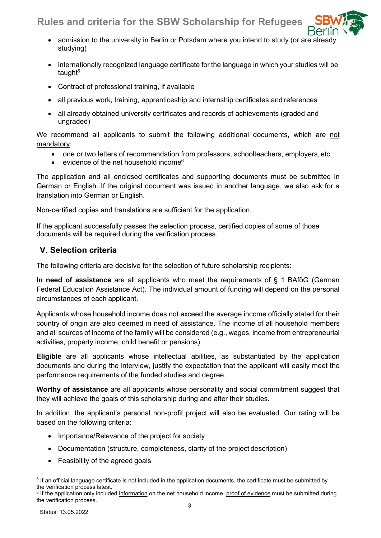# Rules and criteria for the SBW Scholarship for Refugees



- internationally recognized language certificate for the language in which your studies will be taught<sup>5</sup>
- Contract of professional training, if available
- all previous work, training, apprenticeship and internship certificates and references
- all already obtained university certificates and records of achievements (graded and ungraded)

We recommend all applicants to submit the following additional documents, which are not mandatory:

- one or two letters of recommendation from professors, schoolteachers, employers, etc.
- evidence of the net household income<sup>6</sup>

The application and all enclosed certificates and supporting documents must be submitted in German or English. If the original document was issued in another language, we also ask for a translation into German or English.

Non-certified copies and translations are sufficient for the application.

If the applicant successfully passes the selection process, certified copies of some of those documents will be required during the verification process.

### V. Selection criteria

The following criteria are decisive for the selection of future scholarship recipients:

In need of assistance are all applicants who meet the requirements of  $\S$  1 BAföG (German Federal Education Assistance Act). The individual amount of funding will depend on the personal circumstances of each applicant.

Applicants whose household income does not exceed the average income officially stated for their country of origin are also deemed in need of assistance. The income of all household members and all sources of income of the family will be considered (e.g., wages, income from entrepreneurial activities, property income, child benefit or pensions).

Eligible are all applicants whose intellectual abilities, as substantiated by the application documents and during the interview, justify the expectation that the applicant will easily meet the performance requirements of the funded studies and degree.

Worthy of assistance are all applicants whose personality and social commitment suggest that they will achieve the goals of this scholarship during and after their studies.

In addition, the applicant's personal non-profit project will also be evaluated. Our rating will be based on the following criteria:

- Importance/Relevance of the project for society
- Documentation (structure, completeness, clarity of the project description)
- Feasibility of the agreed goals

 $^5$  If an official language certificate is not included in the application documents, the certificate must be submitted by the verification process latest.

 $^6$  If the application only included <u>information</u> on the net household income, <u>proof of evidence</u> must be submitted during the verification process.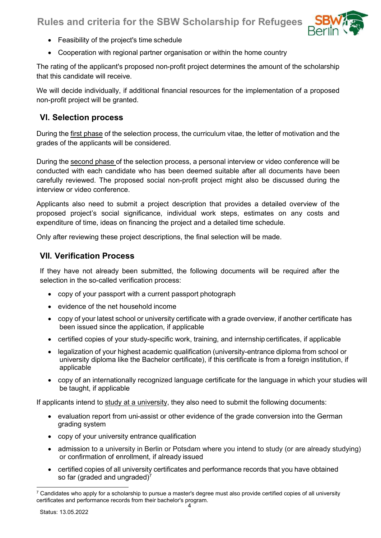

- Feasibility of the project's time schedule
- Cooperation with regional partner organisation or within the home country

The rating of the applicant's proposed non-profit project determines the amount of the scholarship that this candidate will receive.

We will decide individually, if additional financial resources for the implementation of a proposed non-profit project will be granted.

#### VI. Selection process

During the first phase of the selection process, the curriculum vitae, the letter of motivation and the grades of the applicants will be considered.

During the second phase of the selection process, a personal interview or video conference will be conducted with each candidate who has been deemed suitable after all documents have been carefully reviewed. The proposed social non-profit project might also be discussed during the interview or video conference.

Applicants also need to submit a project description that provides a detailed overview of the proposed project's social significance, individual work steps, estimates on any costs and expenditure of time, ideas on financing the project and a detailed time schedule.

Only after reviewing these project descriptions, the final selection will be made.

#### VII. Verification Process

If they have not already been submitted, the following documents will be required after the selection in the so-called verification process:

- copy of your passport with a current passport photograph
- evidence of the net household income
- copy of your latest school or university certificate with a grade overview, if another certificate has been issued since the application, if applicable
- certified copies of your study-specific work, training, and internship certificates, if applicable
- legalization of your highest academic qualification (university-entrance diploma from school or university diploma like the Bachelor certificate), if this certificate is from a foreign institution, if applicable
- copy of an internationally recognized language certificate for the language in which your studies will be taught, if applicable

If applicants intend to study at a university, they also need to submit the following documents:

- evaluation report from uni-assist or other evidence of the grade conversion into the German grading system
- copy of your university entrance qualification
- admission to a university in Berlin or Potsdam where you intend to study (or are already studying) or confirmation of enrollment, if already issued
- certified copies of all university certificates and performance records that you have obtained so far (graded and ungraded)<sup>7</sup>

 $^7$  Candidates who apply for a scholarship to pursue a master's degree must also provide certified copies of all university certificates and performance records from their bachelor's program.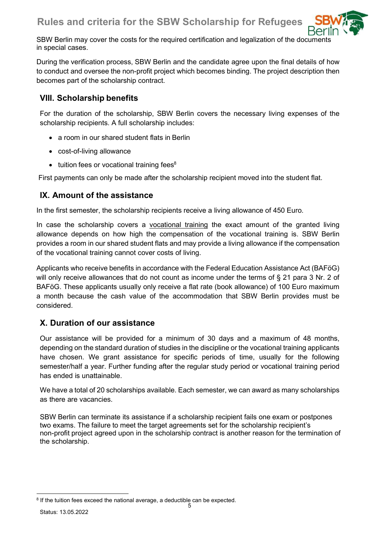

SBW Berlin may cover the costs for the required certification and legalization of the documents in special cases.

During the verification process, SBW Berlin and the candidate agree upon the final details of how to conduct and oversee the non-profit project which becomes binding. The project description then becomes part of the scholarship contract.

## VIII. Scholarship benefits

For the duration of the scholarship, SBW Berlin covers the necessary living expenses of the scholarship recipients. A full scholarship includes:

- a room in our shared student flats in Berlin
- cost-of-living allowance
- $\bullet$  tuition fees or vocational training fees $8$

First payments can only be made after the scholarship recipient moved into the student flat.

## IX. Amount of the assistance

In the first semester, the scholarship recipients receive a living allowance of 450 Euro.

In case the scholarship covers a vocational training the exact amount of the granted living allowance depends on how high the compensation of the vocational training is. SBW Berlin provides a room in our shared student flats and may provide a living allowance if the compensation of the vocational training cannot cover costs of living.

Applicants who receive benefits in accordance with the Federal Education Assistance Act (BAFöG) will only receive allowances that do not count as income under the terms of § 21 para 3 Nr. 2 of BAFöG. These applicants usually only receive a flat rate (book allowance) of 100 Euro maximum a month because the cash value of the accommodation that SBW Berlin provides must be considered.

## X. Duration of our assistance

Our assistance will be provided for a minimum of 30 days and a maximum of 48 months, depending on the standard duration of studies in the discipline or the vocational training applicants have chosen. We grant assistance for specific periods of time, usually for the following semester/half a year. Further funding after the regular study period or vocational training period has ended is unattainable.

We have a total of 20 scholarships available. Each semester, we can award as many scholarships as there are vacancies.

SBW Berlin can terminate its assistance if a scholarship recipient fails one exam or postpones two exams. The failure to meet the target agreements set for the scholarship recipient's non-profit project agreed upon in the scholarship contract is another reason for the termination of the scholarship.

<sup>&</sup>lt;sup>8</sup> If the tuition fees exceed the national average, a deductible can be expected.